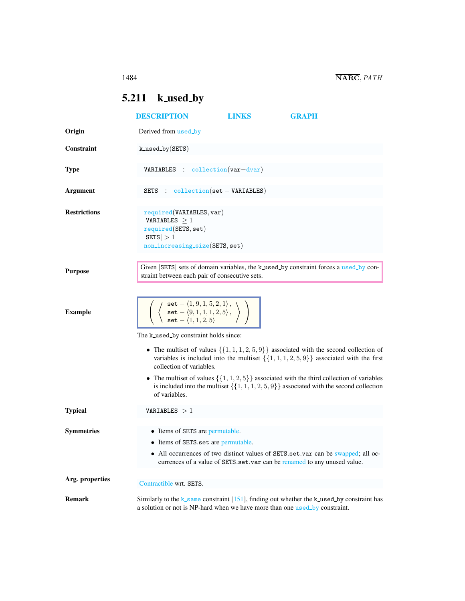## <span id="page-0-0"></span>5.211 k\_used\_by

|                     | <b>DESCRIPTION</b>                                                                                                                                                      | <b>LINKS</b> | <b>GRAPH</b>                                                                                                                                                                                                                                                                                                                                                                                         |  |  |
|---------------------|-------------------------------------------------------------------------------------------------------------------------------------------------------------------------|--------------|------------------------------------------------------------------------------------------------------------------------------------------------------------------------------------------------------------------------------------------------------------------------------------------------------------------------------------------------------------------------------------------------------|--|--|
| Origin              | Derived from used_by                                                                                                                                                    |              |                                                                                                                                                                                                                                                                                                                                                                                                      |  |  |
| <b>Constraint</b>   | $k$ used by $SETS)$                                                                                                                                                     |              |                                                                                                                                                                                                                                                                                                                                                                                                      |  |  |
| <b>Type</b>         | $VARIABLES : collection(var-dvar)$                                                                                                                                      |              |                                                                                                                                                                                                                                                                                                                                                                                                      |  |  |
| <b>Argument</b>     | SETS : collection(set - VARIABLES)                                                                                                                                      |              |                                                                                                                                                                                                                                                                                                                                                                                                      |  |  |
| <b>Restrictions</b> | required(VARIABLES, var)<br>$ VARIABLES  \geq 1$<br>required(SETS, set)<br>$ \texttt{SETS}  > 1$<br>non_increasing_size(SETS, set)                                      |              |                                                                                                                                                                                                                                                                                                                                                                                                      |  |  |
| <b>Purpose</b>      | straint between each pair of consecutive sets.                                                                                                                          |              | Given SETS sets of domain variables, the k_used_by constraint forces a used_by con-                                                                                                                                                                                                                                                                                                                  |  |  |
| <b>Example</b>      | set - $\langle 1, 9, 1, 5, 2, 1 \rangle$ ,<br>set - $\langle 9, 1, 1, 1, 2, 5 \rangle$ ,<br>set - $\langle 1, 1, 2, 5 \rangle$<br>The k used by constraint holds since: |              |                                                                                                                                                                                                                                                                                                                                                                                                      |  |  |
|                     | collection of variables.<br>of variables.                                                                                                                               |              | • The multiset of values $\{\{1, 1, 1, 2, 5, 9\}\}\$ associated with the second collection of<br>variables is included into the multiset $\{\{1, 1, 1, 2, 5, 9\}\}\$ associated with the first<br>• The multiset of values $\{\{1, 1, 2, 5\}\}\$ associated with the third collection of variables<br>is included into the multiset $\{\{1, 1, 1, 2, 5, 9\}\}$ associated with the second collection |  |  |
| <b>Typical</b>      | VARIABLES  > 1                                                                                                                                                          |              |                                                                                                                                                                                                                                                                                                                                                                                                      |  |  |
| <b>Symmetries</b>   | • Items of SETS are permutable.<br>• Items of SETS.set are permutable.                                                                                                  |              | All occurrences of two distinct values of SETS.set.var can be swapped; all oc-<br>currences of a value of SETS.set.var can be renamed to any unused value.                                                                                                                                                                                                                                           |  |  |
| Arg. properties     | Contractible wrt. SETS.                                                                                                                                                 |              |                                                                                                                                                                                                                                                                                                                                                                                                      |  |  |
| <b>Remark</b>       | a solution or not is NP-hard when we have more than one used_by constraint.                                                                                             |              | Similarly to the $k$ -same constraint [151], finding out whether the $k$ -used by constraint has                                                                                                                                                                                                                                                                                                     |  |  |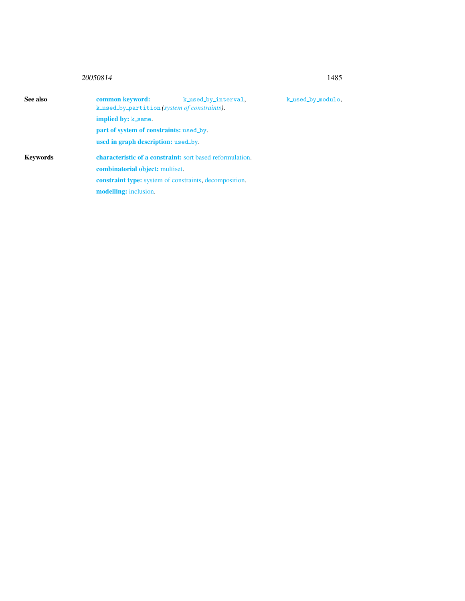## 20050814 1485

<span id="page-1-0"></span>

| See also        | common keyword:<br>k_used_by_partition(system of constraints).   | k_used_by_interval. | k_used_by_modulo, |  |
|-----------------|------------------------------------------------------------------|---------------------|-------------------|--|
|                 | <b>implied by: k_same.</b>                                       |                     |                   |  |
|                 | part of system of constraints: used_by.                          |                     |                   |  |
|                 | used in graph description: used_by                               |                     |                   |  |
| <b>Keywords</b> | <b>characteristic of a constraint:</b> sort based reformulation. |                     |                   |  |
|                 | <b>combinatorial object:</b> multiset.                           |                     |                   |  |
|                 | <b>constraint type:</b> system of constraints, decomposition.    |                     |                   |  |
|                 | <b>modelling:</b> inclusion.                                     |                     |                   |  |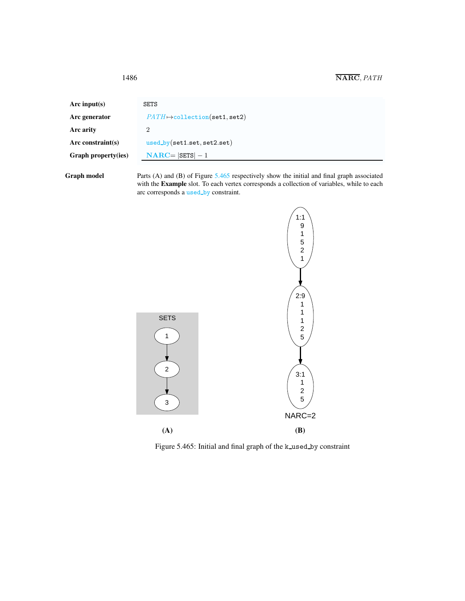1486 NARC,PATH

| Arc input(s)        | <b>SETS</b>                           |
|---------------------|---------------------------------------|
| Arc generator       | $PATH \mapsto$ collection(set1, set2) |
| Arc arity           | 2                                     |
| Arc constraint(s)   | $used_by(set1.set.set2.set)$          |
| Graph property(ies) | $NARC =  SETS  - 1$                   |
|                     |                                       |

Graph model Parts (A) and (B) of Figure [5.465](#page-2-1) respectively show the initial and final graph associated with the **Example** slot. To each vertex corresponds a collection of variables, while to each arc corresponds a used\_by constraint.



<span id="page-2-1"></span>Figure 5.465: Initial and final graph of the k\_used\_by constraint

<span id="page-2-0"></span>